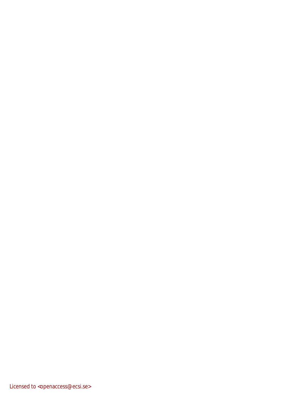Licensed to <openaccess@ecsi.se>